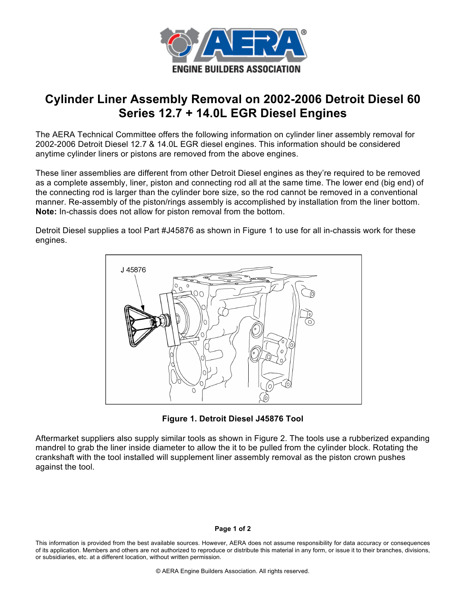

## **Cylinder Liner Assembly Removal on 2002-2006 Detroit Diesel 60 Series 12.7 + 14.0L EGR Diesel Engines**

The AERA Technical Committee offers the following information on cylinder liner assembly removal for 2002-2006 Detroit Diesel 12.7 & 14.0L EGR diesel engines. This information should be considered anytime cylinder liners or pistons are removed from the above engines.

These liner assemblies are different from other Detroit Diesel engines as they're required to be removed as a complete assembly, liner, piston and connecting rod all at the same time. The lower end (big end) of the connecting rod is larger than the cylinder bore size, so the rod cannot be removed in a conventional manner. Re-assembly of the piston/rings assembly is accomplished by installation from the liner bottom. **Note:** In-chassis does not allow for piston removal from the bottom.

Detroit Diesel supplies a tool Part #J45876 as shown in Figure 1 to use for all in-chassis work for these engines.



**Figure 1. Detroit Diesel J45876 Tool**

Aftermarket suppliers also supply similar tools as shown in Figure 2. The tools use a rubberized expanding mandrel to grab the liner inside diameter to allow the it to be pulled from the cylinder block. Rotating the crankshaft with the tool installed will supplement liner assembly removal as the piston crown pushes against the tool.

## **Page 1 of 2**

This information is provided from the best available sources. However, AERA does not assume responsibility for data accuracy or consequences of its application. Members and others are not authorized to reproduce or distribute this material in any form, or issue it to their branches, divisions, or subsidiaries, etc. at a different location, without written permission.